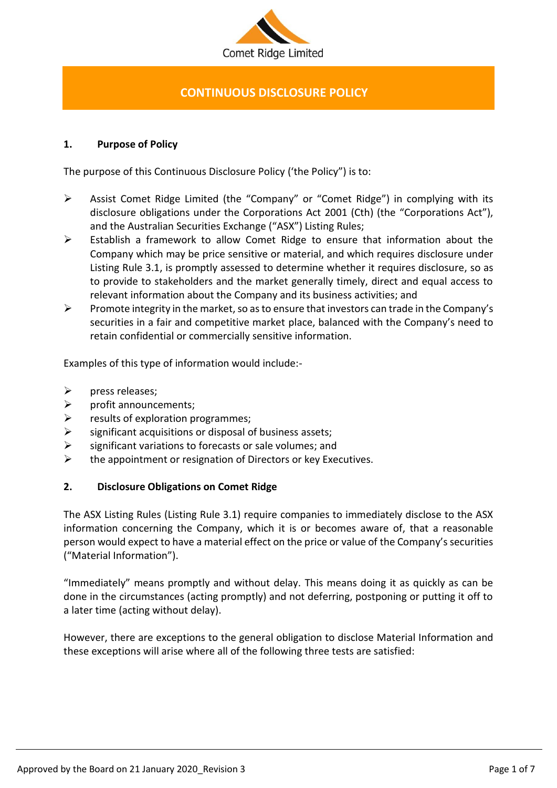

# **CONTINUOUS DISCLOSURE POLICY**

### **1. Purpose of Policy**

The purpose of this Continuous Disclosure Policy ('the Policy") is to:

- ➢ Assist Comet Ridge Limited (the "Company" or "Comet Ridge") in complying with its disclosure obligations under the Corporations Act 2001 (Cth) (the "Corporations Act"), and the Australian Securities Exchange ("ASX") Listing Rules;
- ➢ Establish a framework to allow Comet Ridge to ensure that information about the Company which may be price sensitive or material, and which requires disclosure under Listing Rule 3.1, is promptly assessed to determine whether it requires disclosure, so as to provide to stakeholders and the market generally timely, direct and equal access to relevant information about the Company and its business activities; and
- $\triangleright$  Promote integrity in the market, so as to ensure that investors can trade in the Company's securities in a fair and competitive market place, balanced with the Company's need to retain confidential or commercially sensitive information.

Examples of this type of information would include:-

- ➢ press releases;
- $\triangleright$  profit announcements;
- $\triangleright$  results of exploration programmes;
- $\triangleright$  significant acquisitions or disposal of business assets;
- $\triangleright$  significant variations to forecasts or sale volumes; and
- $\triangleright$  the appointment or resignation of Directors or key Executives.

### **2. Disclosure Obligations on Comet Ridge**

The ASX Listing Rules (Listing Rule 3.1) require companies to immediately disclose to the ASX information concerning the Company, which it is or becomes aware of, that a reasonable person would expect to have a material effect on the price or value of the Company's securities ("Material Information").

"Immediately" means promptly and without delay. This means doing it as quickly as can be done in the circumstances (acting promptly) and not deferring, postponing or putting it off to a later time (acting without delay).

However, there are exceptions to the general obligation to disclose Material Information and these exceptions will arise where all of the following three tests are satisfied: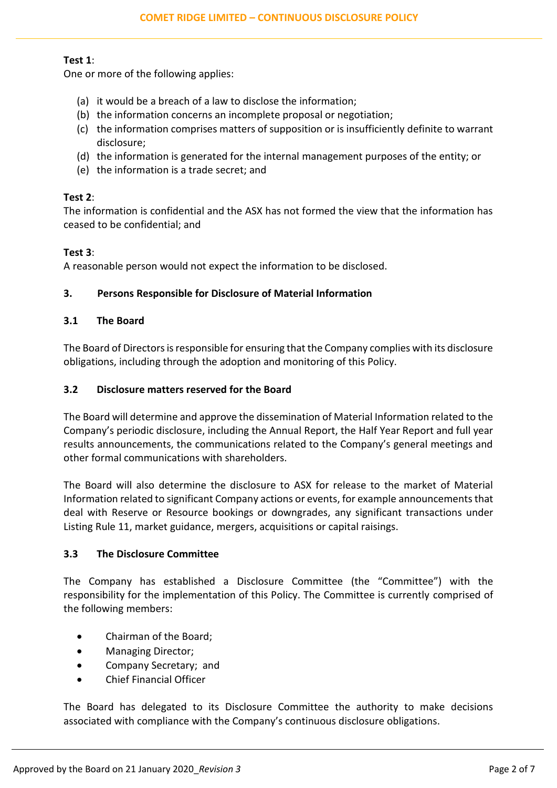#### **Test 1**:

One or more of the following applies:

- (a) it would be a breach of a law to disclose the information;
- (b) the information concerns an incomplete proposal or negotiation;
- (c) the information comprises matters of supposition or is insufficiently definite to warrant disclosure;
- (d) the information is generated for the internal management purposes of the entity; or
- (e) the information is a trade secret; and

# **Test 2**:

The information is confidential and the ASX has not formed the view that the information has ceased to be confidential; and

# **Test 3**:

A reasonable person would not expect the information to be disclosed.

### **3. Persons Responsible for Disclosure of Material Information**

# **3.1 The Board**

The Board of Directors is responsible for ensuring that the Company complies with its disclosure obligations, including through the adoption and monitoring of this Policy.

### **3.2 Disclosure matters reserved for the Board**

The Board will determine and approve the dissemination of Material Information related to the Company's periodic disclosure, including the Annual Report, the Half Year Report and full year results announcements, the communications related to the Company's general meetings and other formal communications with shareholders.

The Board will also determine the disclosure to ASX for release to the market of Material Information related to significant Company actions or events, for example announcementsthat deal with Reserve or Resource bookings or downgrades, any significant transactions under Listing Rule 11, market guidance, mergers, acquisitions or capital raisings.

### **3.3 The Disclosure Committee**

The Company has established a Disclosure Committee (the "Committee") with the responsibility for the implementation of this Policy. The Committee is currently comprised of the following members:

- Chairman of the Board;
- Managing Director;
- Company Secretary; and
- Chief Financial Officer

The Board has delegated to its Disclosure Committee the authority to make decisions associated with compliance with the Company's continuous disclosure obligations.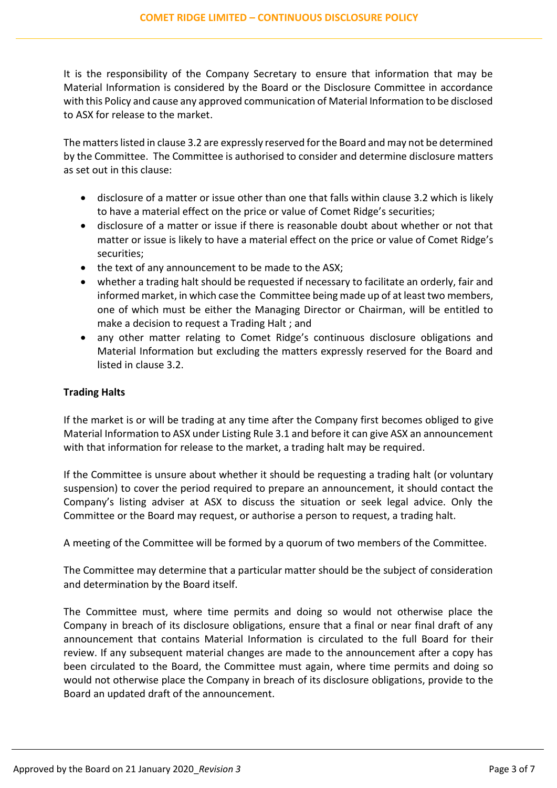It is the responsibility of the Company Secretary to ensure that information that may be Material Information is considered by the Board or the Disclosure Committee in accordance with this Policy and cause any approved communication of Material Information to be disclosed to ASX for release to the market.

The matters listed in clause 3.2 are expressly reserved for the Board and may not be determined by the Committee. The Committee is authorised to consider and determine disclosure matters as set out in this clause:

- disclosure of a matter or issue other than one that falls within clause 3.2 which is likely to have a material effect on the price or value of Comet Ridge's securities;
- disclosure of a matter or issue if there is reasonable doubt about whether or not that matter or issue is likely to have a material effect on the price or value of Comet Ridge's securities;
- the text of any announcement to be made to the ASX;
- whether a trading halt should be requested if necessary to facilitate an orderly, fair and informed market, in which case the Committee being made up of at least two members, one of which must be either the Managing Director or Chairman, will be entitled to make a decision to request a Trading Halt ; and
- any other matter relating to Comet Ridge's continuous disclosure obligations and Material Information but excluding the matters expressly reserved for the Board and listed in clause 3.2.

# **Trading Halts**

If the market is or will be trading at any time after the Company first becomes obliged to give Material Information to ASX under Listing Rule 3.1 and before it can give ASX an announcement with that information for release to the market, a trading halt may be required.

If the Committee is unsure about whether it should be requesting a trading halt (or voluntary suspension) to cover the period required to prepare an announcement, it should contact the Company's listing adviser at ASX to discuss the situation or seek legal advice. Only the Committee or the Board may request, or authorise a person to request, a trading halt.

A meeting of the Committee will be formed by a quorum of two members of the Committee.

The Committee may determine that a particular matter should be the subject of consideration and determination by the Board itself.

The Committee must, where time permits and doing so would not otherwise place the Company in breach of its disclosure obligations, ensure that a final or near final draft of any announcement that contains Material Information is circulated to the full Board for their review. If any subsequent material changes are made to the announcement after a copy has been circulated to the Board, the Committee must again, where time permits and doing so would not otherwise place the Company in breach of its disclosure obligations, provide to the Board an updated draft of the announcement.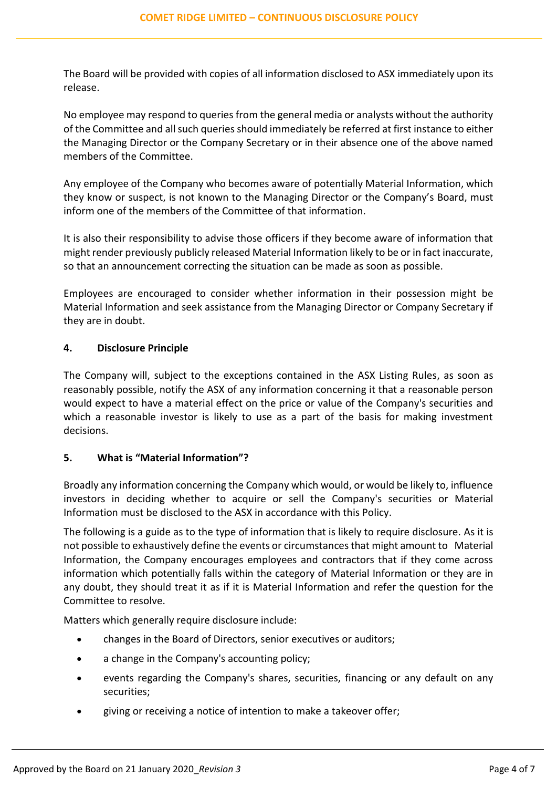The Board will be provided with copies of all information disclosed to ASX immediately upon its release.

No employee may respond to queries from the general media or analysts without the authority of the Committee and all such queries should immediately be referred at first instance to either the Managing Director or the Company Secretary or in their absence one of the above named members of the Committee.

Any employee of the Company who becomes aware of potentially Material Information, which they know or suspect, is not known to the Managing Director or the Company's Board, must inform one of the members of the Committee of that information.

It is also their responsibility to advise those officers if they become aware of information that might render previously publicly released Material Information likely to be or in fact inaccurate, so that an announcement correcting the situation can be made as soon as possible.

Employees are encouraged to consider whether information in their possession might be Material Information and seek assistance from the Managing Director or Company Secretary if they are in doubt.

# **4. Disclosure Principle**

The Company will, subject to the exceptions contained in the ASX Listing Rules, as soon as reasonably possible, notify the ASX of any information concerning it that a reasonable person would expect to have a material effect on the price or value of the Company's securities and which a reasonable investor is likely to use as a part of the basis for making investment decisions.

### **5. What is "Material Information"?**

Broadly any information concerning the Company which would, or would be likely to, influence investors in deciding whether to acquire or sell the Company's securities or Material Information must be disclosed to the ASX in accordance with this Policy.

The following is a guide as to the type of information that is likely to require disclosure. As it is not possible to exhaustively define the events or circumstances that might amount to Material Information, the Company encourages employees and contractors that if they come across information which potentially falls within the category of Material Information or they are in any doubt, they should treat it as if it is Material Information and refer the question for the Committee to resolve.

Matters which generally require disclosure include:

- changes in the Board of Directors, senior executives or auditors;
- a change in the Company's accounting policy;
- events regarding the Company's shares, securities, financing or any default on any securities;
- giving or receiving a notice of intention to make a takeover offer;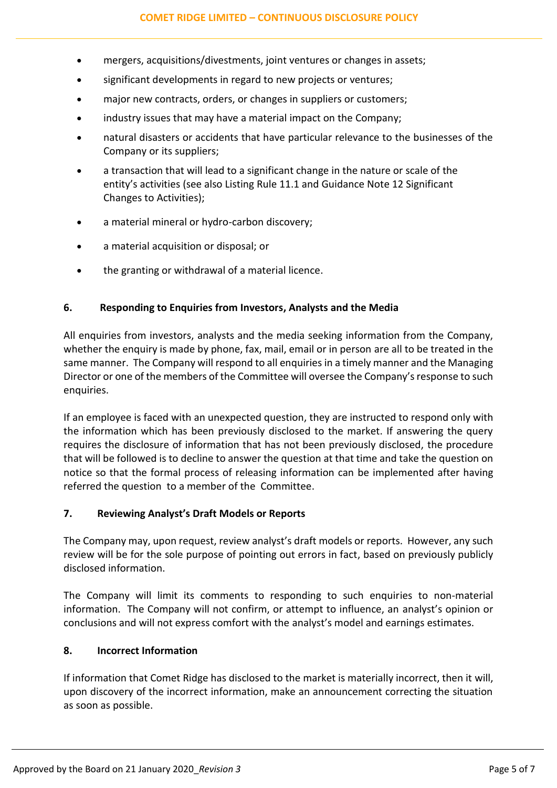- mergers, acquisitions/divestments, joint ventures or changes in assets;
- significant developments in regard to new projects or ventures;
- major new contracts, orders, or changes in suppliers or customers;
- industry issues that may have a material impact on the Company;
- natural disasters or accidents that have particular relevance to the businesses of the Company or its suppliers;
- a transaction that will lead to a significant change in the nature or scale of the entity's activities (see also Listing Rule 11.1 and Guidance Note 12 Significant Changes to Activities);
- a material mineral or hydro-carbon discovery;
- a material acquisition or disposal; or
- the granting or withdrawal of a material licence.

# **6. Responding to Enquiries from Investors, Analysts and the Media**

All enquiries from investors, analysts and the media seeking information from the Company, whether the enquiry is made by phone, fax, mail, email or in person are all to be treated in the same manner. The Company will respond to all enquiries in a timely manner and the Managing Director or one of the members of the Committee will oversee the Company's response to such enquiries.

If an employee is faced with an unexpected question, they are instructed to respond only with the information which has been previously disclosed to the market. If answering the query requires the disclosure of information that has not been previously disclosed, the procedure that will be followed is to decline to answer the question at that time and take the question on notice so that the formal process of releasing information can be implemented after having referred the question to a member of the Committee.

### **7. Reviewing Analyst's Draft Models or Reports**

The Company may, upon request, review analyst's draft models or reports. However, any such review will be for the sole purpose of pointing out errors in fact, based on previously publicly disclosed information.

The Company will limit its comments to responding to such enquiries to non-material information. The Company will not confirm, or attempt to influence, an analyst's opinion or conclusions and will not express comfort with the analyst's model and earnings estimates.

# **8. Incorrect Information**

If information that Comet Ridge has disclosed to the market is materially incorrect, then it will, upon discovery of the incorrect information, make an announcement correcting the situation as soon as possible.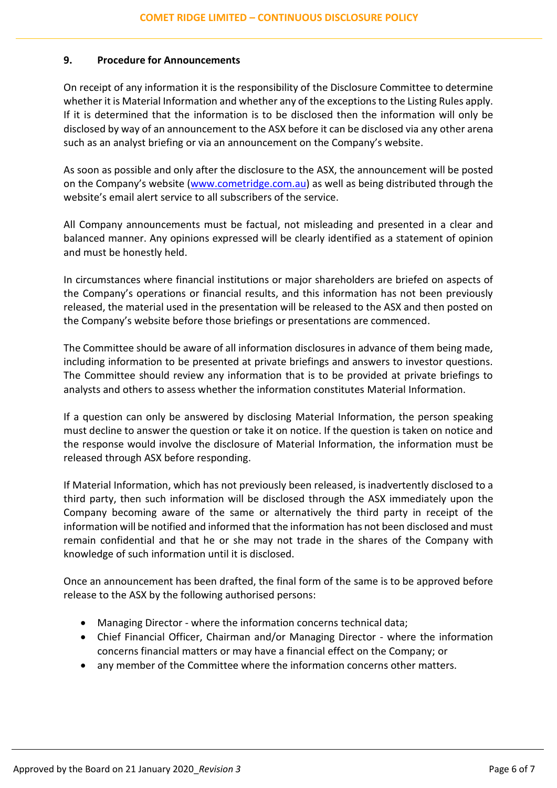#### **9. Procedure for Announcements**

On receipt of any information it is the responsibility of the Disclosure Committee to determine whether it is Material Information and whether any of the exceptions to the Listing Rules apply. If it is determined that the information is to be disclosed then the information will only be disclosed by way of an announcement to the ASX before it can be disclosed via any other arena such as an analyst briefing or via an announcement on the Company's website.

As soon as possible and only after the disclosure to the ASX, the announcement will be posted on the Company's website ([www.cometridge.com.au\)](http://www.cometridge.com.au/) as well as being distributed through the website's email alert service to all subscribers of the service.

All Company announcements must be factual, not misleading and presented in a clear and balanced manner. Any opinions expressed will be clearly identified as a statement of opinion and must be honestly held.

In circumstances where financial institutions or major shareholders are briefed on aspects of the Company's operations or financial results, and this information has not been previously released, the material used in the presentation will be released to the ASX and then posted on the Company's website before those briefings or presentations are commenced.

The Committee should be aware of all information disclosures in advance of them being made, including information to be presented at private briefings and answers to investor questions. The Committee should review any information that is to be provided at private briefings to analysts and others to assess whether the information constitutes Material Information.

If a question can only be answered by disclosing Material Information, the person speaking must decline to answer the question or take it on notice. If the question is taken on notice and the response would involve the disclosure of Material Information, the information must be released through ASX before responding.

If Material Information, which has not previously been released, is inadvertently disclosed to a third party, then such information will be disclosed through the ASX immediately upon the Company becoming aware of the same or alternatively the third party in receipt of the information will be notified and informed that the information has not been disclosed and must remain confidential and that he or she may not trade in the shares of the Company with knowledge of such information until it is disclosed.

Once an announcement has been drafted, the final form of the same is to be approved before release to the ASX by the following authorised persons:

- Managing Director where the information concerns technical data;
- Chief Financial Officer, Chairman and/or Managing Director where the information concerns financial matters or may have a financial effect on the Company; or
- any member of the Committee where the information concerns other matters.